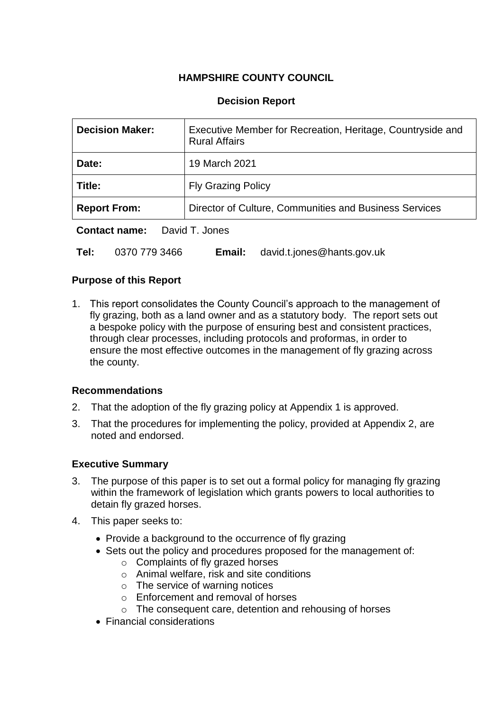# **HAMPSHIRE COUNTY COUNCIL**

### **Decision Report**

| <b>Decision Maker:</b>           | Executive Member for Recreation, Heritage, Countryside and<br><b>Rural Affairs</b> |  |
|----------------------------------|------------------------------------------------------------------------------------|--|
| Date:                            | 19 March 2021                                                                      |  |
| Title:                           | <b>Fly Grazing Policy</b>                                                          |  |
| <b>Report From:</b>              | Director of Culture, Communities and Business Services                             |  |
| $P$ antaat naman<br>Dought Janes |                                                                                    |  |

**Contact name:** David T. Jones

**Tel:** 0370 779 3466 **Email:** david.t.jones@hants.gov.uk

#### **Purpose of this Report**

1. This report consolidates the County Council's approach to the management of fly grazing, both as a land owner and as a statutory body. The report sets out a bespoke policy with the purpose of ensuring best and consistent practices, through clear processes, including protocols and proformas, in order to ensure the most effective outcomes in the management of fly grazing across the county.

#### **Recommendations**

- 2. That the adoption of the fly grazing policy at Appendix 1 is approved.
- 3. That the procedures for implementing the policy, provided at Appendix 2, are noted and endorsed.

#### **Executive Summary**

- 3. The purpose of this paper is to set out a formal policy for managing fly grazing within the framework of legislation which grants powers to local authorities to detain fly grazed horses.
- 4. This paper seeks to:
	- Provide a background to the occurrence of fly grazing
	- Sets out the policy and procedures proposed for the management of:
		- o Complaints of fly grazed horses
		- o Animal welfare, risk and site conditions
		- $\circ$  The service of warning notices
		- o Enforcement and removal of horses
		- o The consequent care, detention and rehousing of horses
	- Financial considerations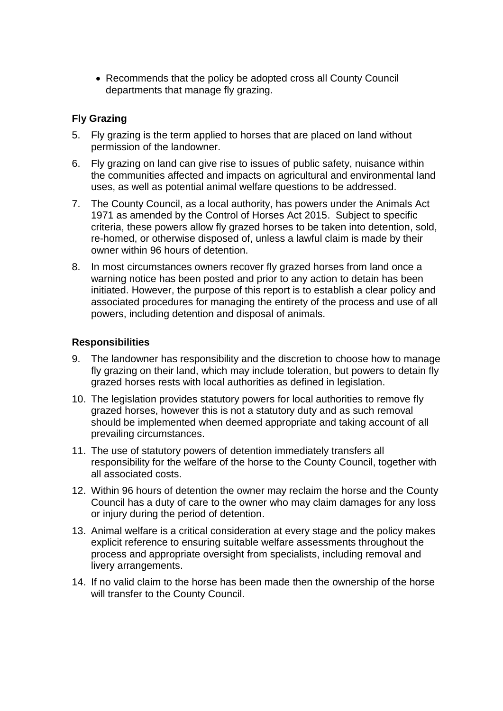Recommends that the policy be adopted cross all County Council departments that manage fly grazing.

### **Fly Grazing**

- 5. Fly grazing is the term applied to horses that are placed on land without permission of the landowner.
- 6. Fly grazing on land can give rise to issues of public safety, nuisance within the communities affected and impacts on agricultural and environmental land uses, as well as potential animal welfare questions to be addressed.
- 7. The County Council, as a local authority, has powers under the Animals Act 1971 as amended by the Control of Horses Act 2015. Subject to specific criteria, these powers allow fly grazed horses to be taken into detention, sold, re-homed, or otherwise disposed of, unless a lawful claim is made by their owner within 96 hours of detention.
- 8. In most circumstances owners recover fly grazed horses from land once a warning notice has been posted and prior to any action to detain has been initiated. However, the purpose of this report is to establish a clear policy and associated procedures for managing the entirety of the process and use of all powers, including detention and disposal of animals.

### **Responsibilities**

- 9. The landowner has responsibility and the discretion to choose how to manage fly grazing on their land, which may include toleration, but powers to detain fly grazed horses rests with local authorities as defined in legislation.
- 10. The legislation provides statutory powers for local authorities to remove fly grazed horses, however this is not a statutory duty and as such removal should be implemented when deemed appropriate and taking account of all prevailing circumstances.
- 11. The use of statutory powers of detention immediately transfers all responsibility for the welfare of the horse to the County Council, together with all associated costs.
- 12. Within 96 hours of detention the owner may reclaim the horse and the County Council has a duty of care to the owner who may claim damages for any loss or injury during the period of detention.
- 13. Animal welfare is a critical consideration at every stage and the policy makes explicit reference to ensuring suitable welfare assessments throughout the process and appropriate oversight from specialists, including removal and livery arrangements.
- 14. If no valid claim to the horse has been made then the ownership of the horse will transfer to the County Council.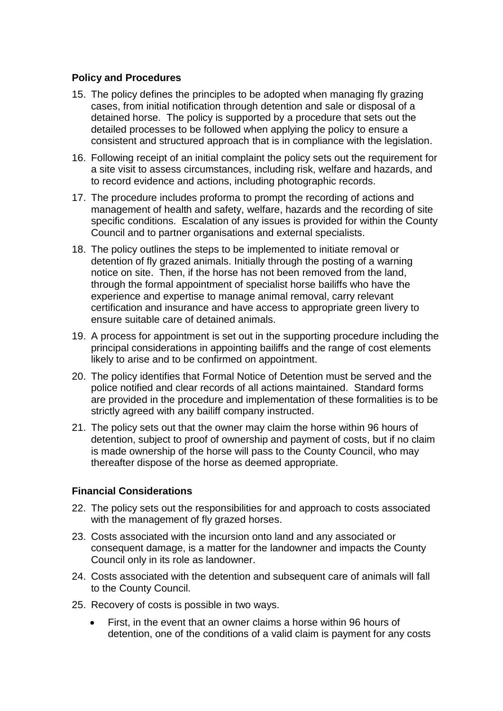### **Policy and Procedures**

- 15. The policy defines the principles to be adopted when managing fly grazing cases, from initial notification through detention and sale or disposal of a detained horse. The policy is supported by a procedure that sets out the detailed processes to be followed when applying the policy to ensure a consistent and structured approach that is in compliance with the legislation.
- 16. Following receipt of an initial complaint the policy sets out the requirement for a site visit to assess circumstances, including risk, welfare and hazards, and to record evidence and actions, including photographic records.
- 17. The procedure includes proforma to prompt the recording of actions and management of health and safety, welfare, hazards and the recording of site specific conditions. Escalation of any issues is provided for within the County Council and to partner organisations and external specialists.
- 18. The policy outlines the steps to be implemented to initiate removal or detention of fly grazed animals. Initially through the posting of a warning notice on site. Then, if the horse has not been removed from the land, through the formal appointment of specialist horse bailiffs who have the experience and expertise to manage animal removal, carry relevant certification and insurance and have access to appropriate green livery to ensure suitable care of detained animals.
- 19. A process for appointment is set out in the supporting procedure including the principal considerations in appointing bailiffs and the range of cost elements likely to arise and to be confirmed on appointment.
- 20. The policy identifies that Formal Notice of Detention must be served and the police notified and clear records of all actions maintained. Standard forms are provided in the procedure and implementation of these formalities is to be strictly agreed with any bailiff company instructed.
- 21. The policy sets out that the owner may claim the horse within 96 hours of detention, subject to proof of ownership and payment of costs, but if no claim is made ownership of the horse will pass to the County Council, who may thereafter dispose of the horse as deemed appropriate.

### **Financial Considerations**

- 22. The policy sets out the responsibilities for and approach to costs associated with the management of fly grazed horses.
- 23. Costs associated with the incursion onto land and any associated or consequent damage, is a matter for the landowner and impacts the County Council only in its role as landowner.
- 24. Costs associated with the detention and subsequent care of animals will fall to the County Council.
- 25. Recovery of costs is possible in two ways.
	- First, in the event that an owner claims a horse within 96 hours of detention, one of the conditions of a valid claim is payment for any costs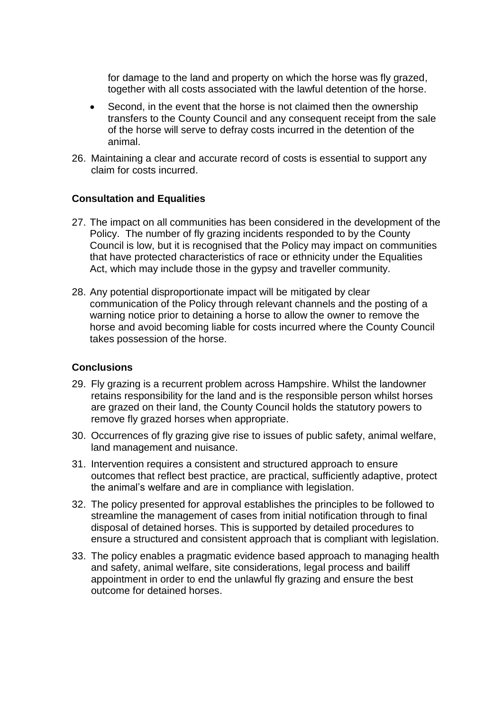for damage to the land and property on which the horse was fly grazed, together with all costs associated with the lawful detention of the horse.

- Second, in the event that the horse is not claimed then the ownership transfers to the County Council and any consequent receipt from the sale of the horse will serve to defray costs incurred in the detention of the animal.
- 26. Maintaining a clear and accurate record of costs is essential to support any claim for costs incurred.

#### **Consultation and Equalities**

- 27. The impact on all communities has been considered in the development of the Policy. The number of fly grazing incidents responded to by the County Council is low, but it is recognised that the Policy may impact on communities that have protected characteristics of race or ethnicity under the Equalities Act, which may include those in the gypsy and traveller community.
- 28. Any potential disproportionate impact will be mitigated by clear communication of the Policy through relevant channels and the posting of a warning notice prior to detaining a horse to allow the owner to remove the horse and avoid becoming liable for costs incurred where the County Council takes possession of the horse.

#### **Conclusions**

- 29. Fly grazing is a recurrent problem across Hampshire. Whilst the landowner retains responsibility for the land and is the responsible person whilst horses are grazed on their land, the County Council holds the statutory powers to remove fly grazed horses when appropriate.
- 30. Occurrences of fly grazing give rise to issues of public safety, animal welfare, land management and nuisance.
- 31. Intervention requires a consistent and structured approach to ensure outcomes that reflect best practice, are practical, sufficiently adaptive, protect the animal's welfare and are in compliance with legislation.
- 32. The policy presented for approval establishes the principles to be followed to streamline the management of cases from initial notification through to final disposal of detained horses. This is supported by detailed procedures to ensure a structured and consistent approach that is compliant with legislation.
- 33. The policy enables a pragmatic evidence based approach to managing health and safety, animal welfare, site considerations, legal process and bailiff appointment in order to end the unlawful fly grazing and ensure the best outcome for detained horses.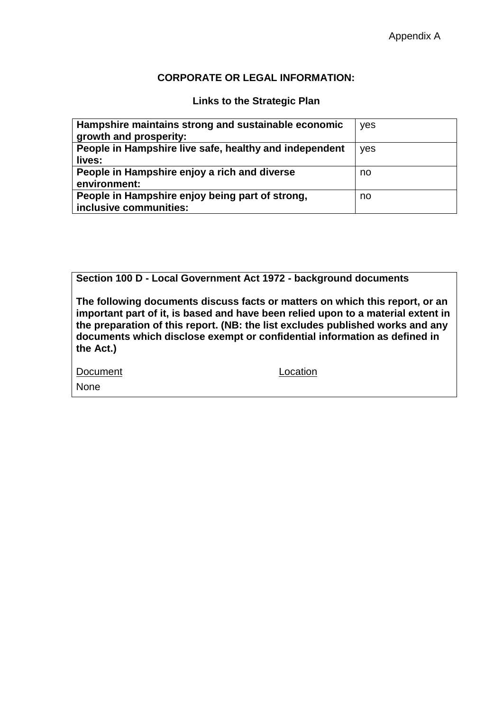#### **CORPORATE OR LEGAL INFORMATION:**

# **Links to the Strategic Plan**

| Hampshire maintains strong and sustainable economic<br>growth and prosperity: | yes |
|-------------------------------------------------------------------------------|-----|
| People in Hampshire live safe, healthy and independent<br>lives:              | yes |
| People in Hampshire enjoy a rich and diverse<br>environment:                  | no  |
| People in Hampshire enjoy being part of strong,<br>inclusive communities:     | no  |

**Section 100 D - Local Government Act 1972 - background documents**

**The following documents discuss facts or matters on which this report, or an important part of it, is based and have been relied upon to a material extent in the preparation of this report. (NB: the list excludes published works and any documents which disclose exempt or confidential information as defined in the Act.)**

Document Location

None